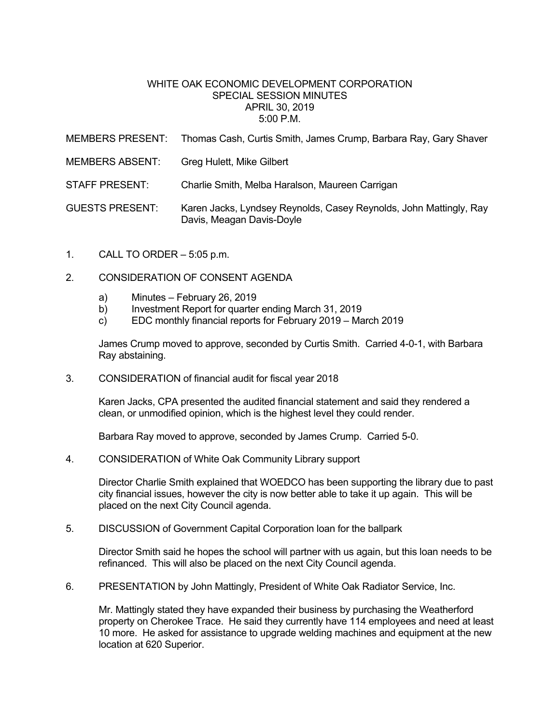## WHITE OAK ECONOMIC DEVELOPMENT CORPORATION SPECIAL SESSION MINUTES APRIL 30, 2019  $5:00 \text{ P M}$

| <b>MEMBERS PRESENT:</b> | Thomas Cash, Curtis Smith, James Crump, Barbara Ray, Gary Shaver                                |
|-------------------------|-------------------------------------------------------------------------------------------------|
| <b>MEMBERS ABSENT:</b>  | Greg Hulett, Mike Gilbert                                                                       |
| <b>STAFF PRESENT:</b>   | Charlie Smith, Melba Haralson, Maureen Carrigan                                                 |
| <b>GUESTS PRESENT:</b>  | Karen Jacks, Lyndsey Reynolds, Casey Reynolds, John Mattingly, Ray<br>Davis, Meagan Davis-Doyle |

- 1. CALL TO ORDER 5:05 p.m.
- 2. CONSIDERATION OF CONSENT AGENDA
	- a) Minutes February 26, 2019
	- b) Investment Report for quarter ending March 31, 2019
	- c) EDC monthly financial reports for February 2019 March 2019

James Crump moved to approve, seconded by Curtis Smith. Carried 4-0-1, with Barbara Ray abstaining.

3. CONSIDERATION of financial audit for fiscal year 2018

Karen Jacks, CPA presented the audited financial statement and said they rendered a clean, or unmodified opinion, which is the highest level they could render.

Barbara Ray moved to approve, seconded by James Crump. Carried 5-0.

4. CONSIDERATION of White Oak Community Library support

Director Charlie Smith explained that WOEDCO has been supporting the library due to past city financial issues, however the city is now better able to take it up again. This will be placed on the next City Council agenda.

5. DISCUSSION of Government Capital Corporation loan for the ballpark

Director Smith said he hopes the school will partner with us again, but this loan needs to be refinanced. This will also be placed on the next City Council agenda.

6. PRESENTATION by John Mattingly, President of White Oak Radiator Service, Inc.

Mr. Mattingly stated they have expanded their business by purchasing the Weatherford property on Cherokee Trace. He said they currently have 114 employees and need at least 10 more. He asked for assistance to upgrade welding machines and equipment at the new location at 620 Superior.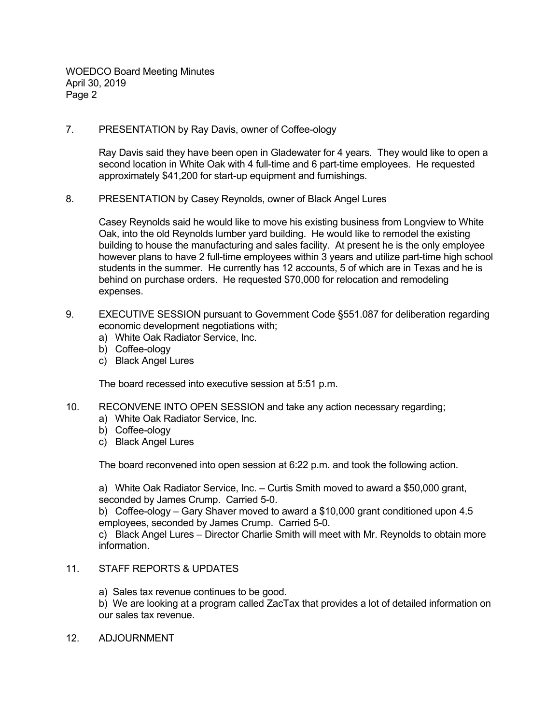WOEDCO Board Meeting Minutes April 30, 2019 Page 2

7. PRESENTATION by Ray Davis, owner of Coffee-ology

Ray Davis said they have been open in Gladewater for 4 years. They would like to open a second location in White Oak with 4 full-time and 6 part-time employees. He requested approximately \$41,200 for start-up equipment and furnishings.

8. PRESENTATION by Casey Reynolds, owner of Black Angel Lures

Casey Reynolds said he would like to move his existing business from Longview to White Oak, into the old Reynolds lumber yard building. He would like to remodel the existing building to house the manufacturing and sales facility. At present he is the only employee however plans to have 2 full-time employees within 3 years and utilize part-time high school students in the summer. He currently has 12 accounts, 5 of which are in Texas and he is behind on purchase orders. He requested \$70,000 for relocation and remodeling expenses.

- 9. EXECUTIVE SESSION pursuant to Government Code §551.087 for deliberation regarding economic development negotiations with;
	- a) White Oak Radiator Service, Inc.
	- b) Coffee-ology
	- c) Black Angel Lures

The board recessed into executive session at 5:51 p.m.

- 10. RECONVENE INTO OPEN SESSION and take any action necessary regarding;
	- a) White Oak Radiator Service, Inc.
	- b) Coffee-ology
	- c) Black Angel Lures

The board reconvened into open session at 6:22 p.m. and took the following action.

a) White Oak Radiator Service, Inc. – Curtis Smith moved to award a \$50,000 grant, seconded by James Crump. Carried 5-0.

b) Coffee-ology – Gary Shaver moved to award a \$10,000 grant conditioned upon 4.5 employees, seconded by James Crump. Carried 5-0.

c) Black Angel Lures – Director Charlie Smith will meet with Mr. Reynolds to obtain more information.

## 11. STAFF REPORTS & UPDATES

a) Sales tax revenue continues to be good.

b) We are looking at a program called ZacTax that provides a lot of detailed information on our sales tax revenue.

12. ADJOURNMENT